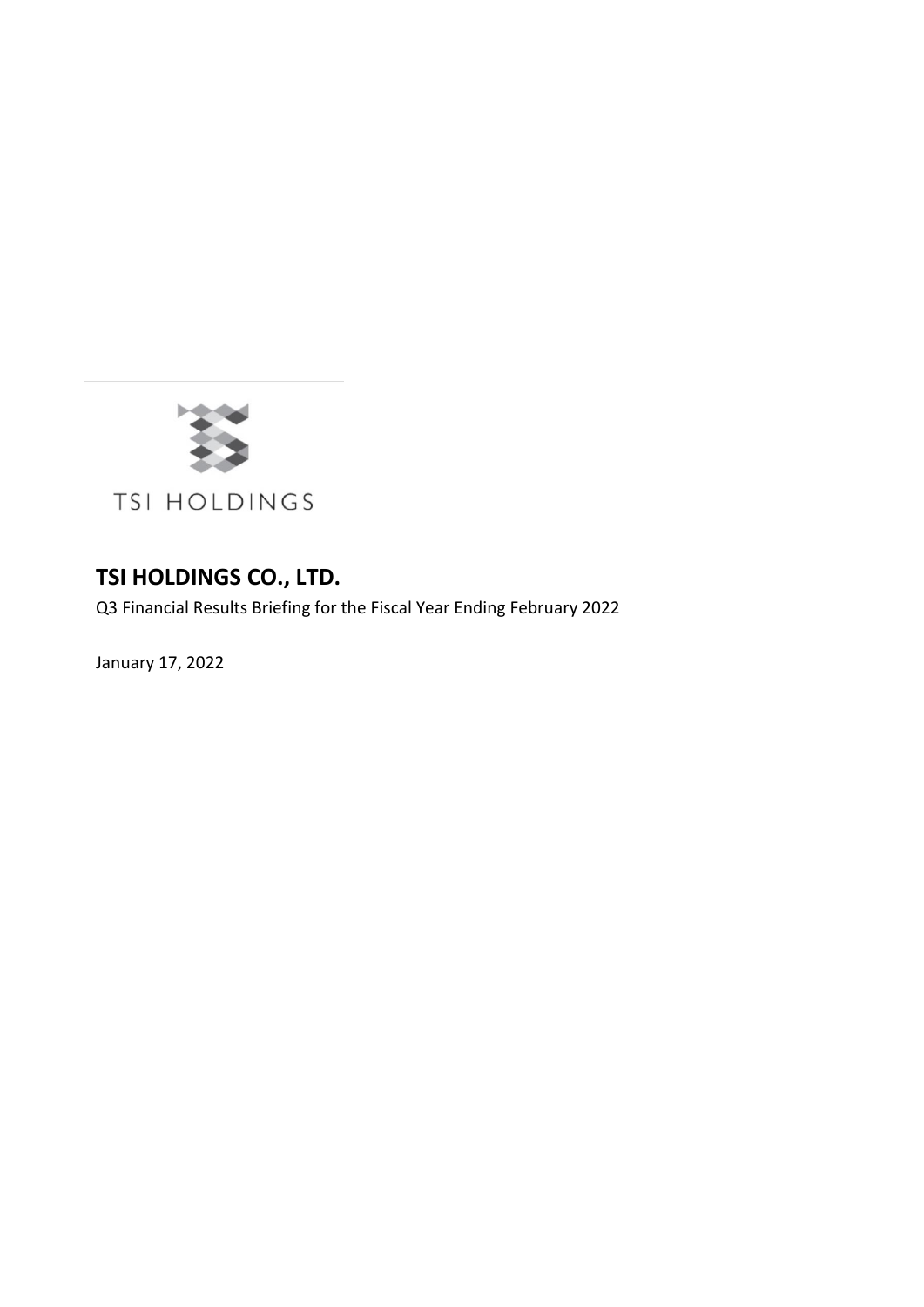

## **TSI HOLDINGS CO., LTD.**

Q3 Financial Results Briefing for the Fiscal Year Ending February 2022

January 17, 2022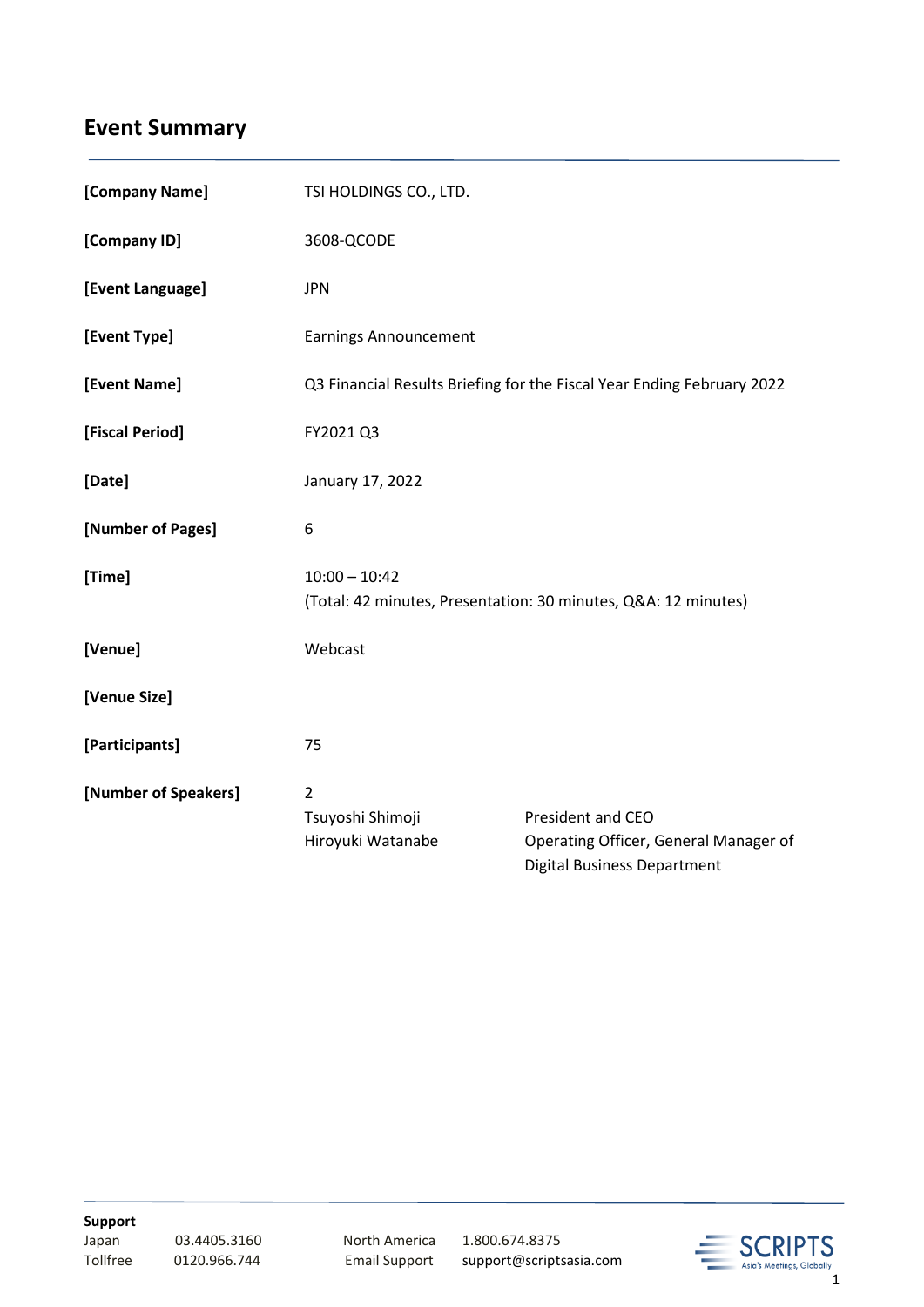# **Event Summary**

| [Company Name]       | TSI HOLDINGS CO., LTD.                                                            |                                                                                                  |
|----------------------|-----------------------------------------------------------------------------------|--------------------------------------------------------------------------------------------------|
| [Company ID]         | 3608-QCODE                                                                        |                                                                                                  |
| [Event Language]     | <b>JPN</b>                                                                        |                                                                                                  |
| [Event Type]         | <b>Earnings Announcement</b>                                                      |                                                                                                  |
| [Event Name]         | Q3 Financial Results Briefing for the Fiscal Year Ending February 2022            |                                                                                                  |
| [Fiscal Period]      | FY2021 Q3                                                                         |                                                                                                  |
| [Date]               | January 17, 2022                                                                  |                                                                                                  |
| [Number of Pages]    | 6                                                                                 |                                                                                                  |
| [Time]               | $10:00 - 10:42$<br>(Total: 42 minutes, Presentation: 30 minutes, Q&A: 12 minutes) |                                                                                                  |
| [Venue]              | Webcast                                                                           |                                                                                                  |
| [Venue Size]         |                                                                                   |                                                                                                  |
| [Participants]       | 75                                                                                |                                                                                                  |
| [Number of Speakers] | $\overline{2}$<br>Tsuyoshi Shimoji<br>Hiroyuki Watanabe                           | President and CEO<br>Operating Officer, General Manager of<br><b>Digital Business Department</b> |

**Support**

03.4405.3160 North America 1.800.674.8375

Tollfree 0120.966.744 Email Support support@scriptsasia.com

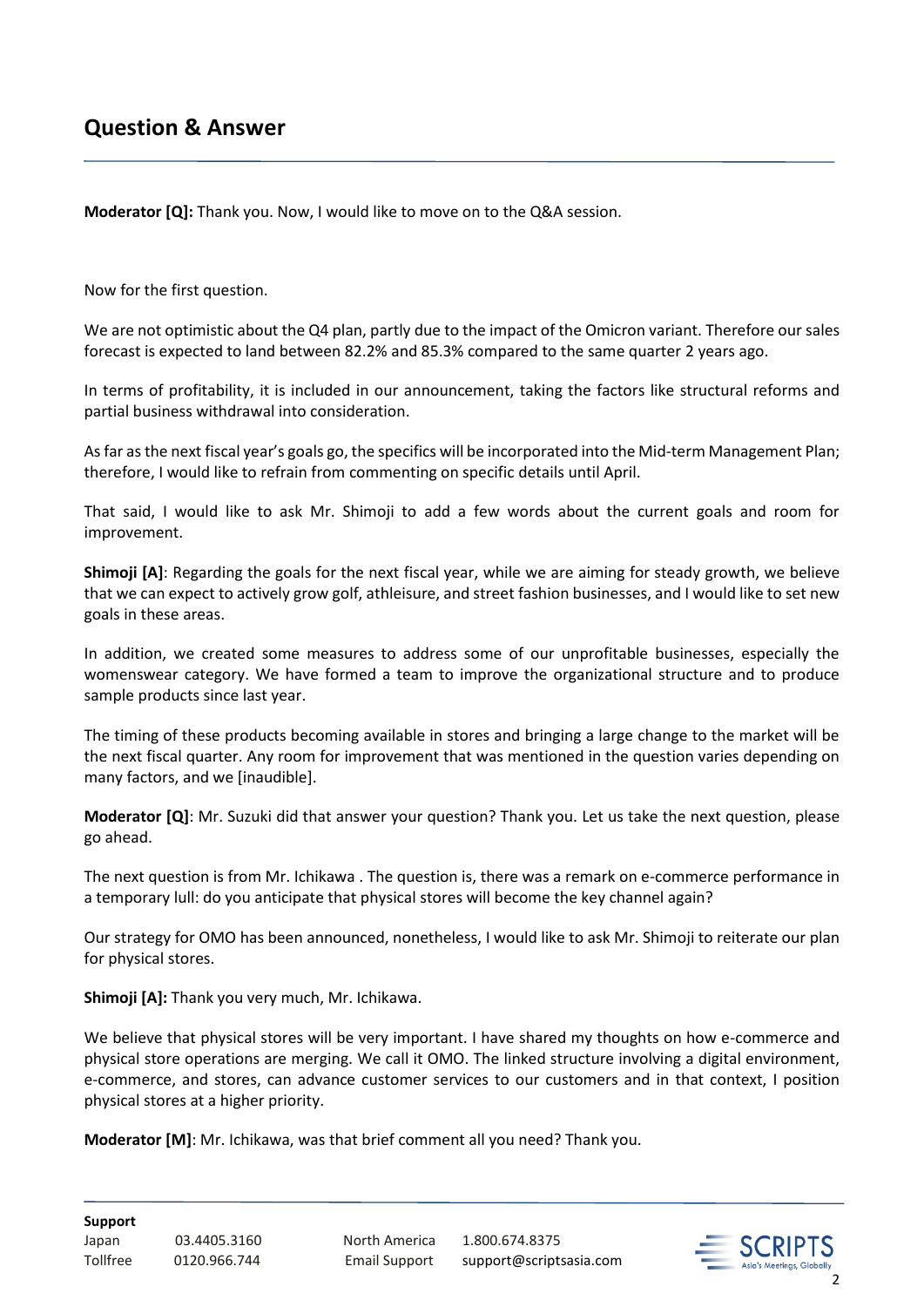**Moderator [Q]:** Thank you. Now, I would like to move on to the Q&A session.

Now for the first question.

We are not optimistic about the Q4 plan, partly due to the impact of the Omicron variant. Therefore our sales forecast is expected to land between 82.2% and 85.3% compared to the same quarter 2 years ago.

In terms of profitability, it is included in our announcement, taking the factors like structural reforms and partial business withdrawal into consideration.

As far as the next fiscal year's goals go, the specifics will be incorporated into the Mid-term Management Plan; therefore, I would like to refrain from commenting on specific details until April.

That said, I would like to ask Mr. Shimoji to add a few words about the current goals and room for improvement.

**Shimoji [A]**: Regarding the goals for the next fiscal year, while we are aiming for steady growth, we believe that we can expect to actively grow golf, athleisure, and street fashion businesses, and I would like to set new goals in these areas.

In addition, we created some measures to address some of our unprofitable businesses, especially the womenswear category. We have formed a team to improve the organizational structure and to produce sample products since last year.

The timing of these products becoming available in stores and bringing a large change to the market will be the next fiscal quarter. Any room for improvement that was mentioned in the question varies depending on many factors, and we [inaudible].

**Moderator [Q]**: Mr. Suzuki did that answer your question? Thank you. Let us take the next question, please go ahead.

The next question is from Mr. Ichikawa . The question is, there was a remark on e-commerce performance in a temporary lull: do you anticipate that physical stores will become the key channel again?

Our strategy for OMO has been announced, nonetheless, I would like to ask Mr. Shimoji to reiterate our plan for physical stores.

**Shimoji [A]:** Thank you very much, Mr. Ichikawa.

We believe that physical stores will be very important. I have shared my thoughts on how e-commerce and physical store operations are merging. We call it OMO. The linked structure involving a digital environment, e-commerce, and stores, can advance customer services to our customers and in that context, I position physical stores at a higher priority.

**Moderator [M]**: Mr. Ichikawa, was that brief comment all you need? Thank you.

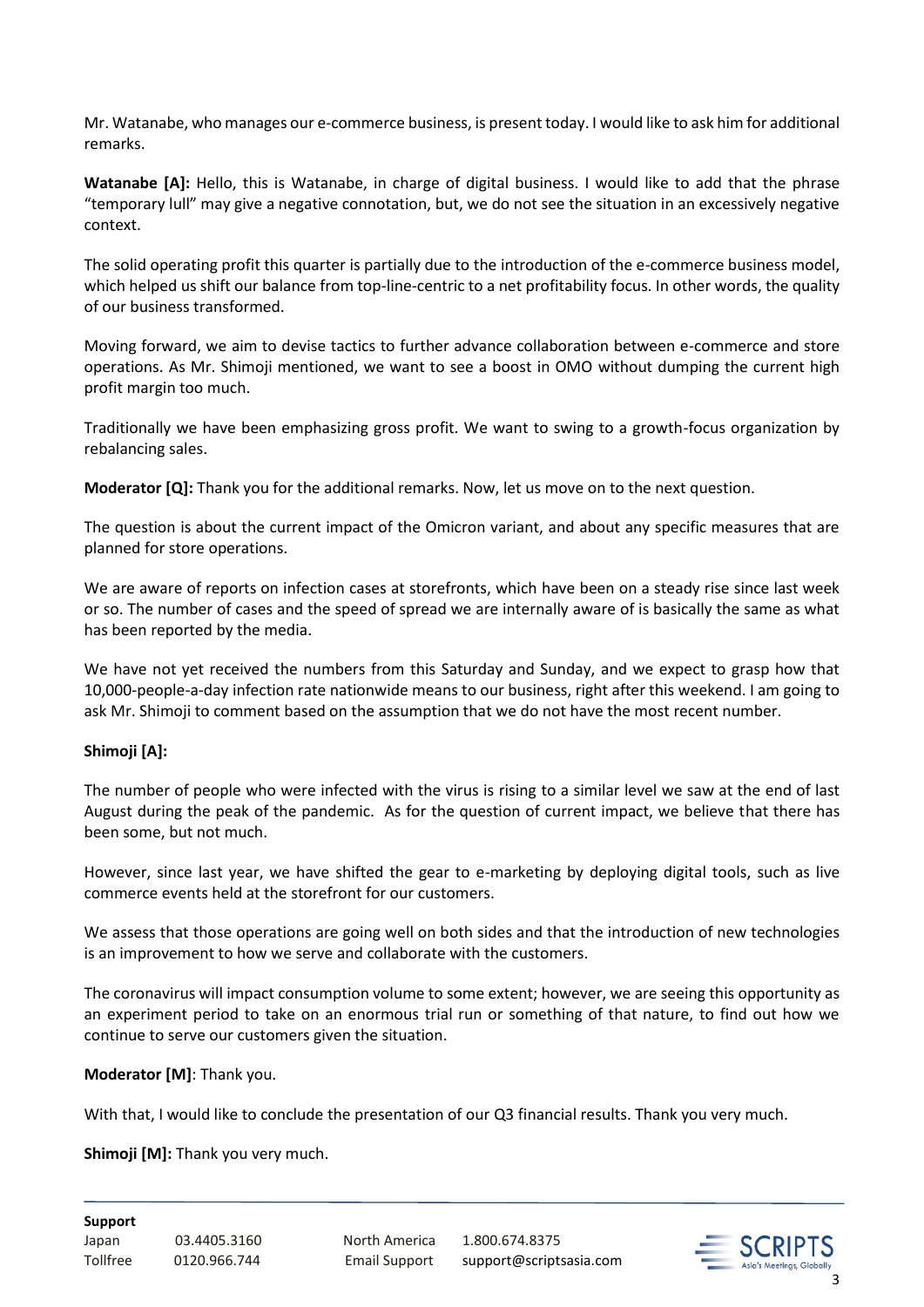Mr. Watanabe, who manages our e-commerce business, is present today. I would like to ask him for additional remarks.

**Watanabe [A]:** Hello, this is Watanabe, in charge of digital business. I would like to add that the phrase "temporary lull" may give a negative connotation, but, we do not see the situation in an excessively negative context.

The solid operating profit this quarter is partially due to the introduction of the e-commerce business model, which helped us shift our balance from top-line-centric to a net profitability focus. In other words, the quality of our business transformed.

Moving forward, we aim to devise tactics to further advance collaboration between e-commerce and store operations. As Mr. Shimoji mentioned, we want to see a boost in OMO without dumping the current high profit margin too much.

Traditionally we have been emphasizing gross profit. We want to swing to a growth-focus organization by rebalancing sales.

**Moderator [Q]:** Thank you for the additional remarks. Now, let us move on to the next question.

The question is about the current impact of the Omicron variant, and about any specific measures that are planned for store operations.

We are aware of reports on infection cases at storefronts, which have been on a steady rise since last week or so. The number of cases and the speed of spread we are internally aware of is basically the same as what has been reported by the media.

We have not yet received the numbers from this Saturday and Sunday, and we expect to grasp how that 10,000-people-a-day infection rate nationwide means to our business, right after this weekend. I am going to ask Mr. Shimoji to comment based on the assumption that we do not have the most recent number.

## **Shimoji [A]:**

The number of people who were infected with the virus is rising to a similar level we saw at the end of last August during the peak of the pandemic. As for the question of current impact, we believe that there has been some, but not much.

However, since last year, we have shifted the gear to e-marketing by deploying digital tools, such as live commerce events held at the storefront for our customers.

We assess that those operations are going well on both sides and that the introduction of new technologies is an improvement to how we serve and collaborate with the customers.

The coronavirus will impact consumption volume to some extent; however, we are seeing this opportunity as an experiment period to take on an enormous trial run or something of that nature, to find out how we continue to serve our customers given the situation.

### **Moderator [M]**: Thank you.

With that, I would like to conclude the presentation of our Q3 financial results. Thank you very much.

**Shimoji [M]:** Thank you very much.

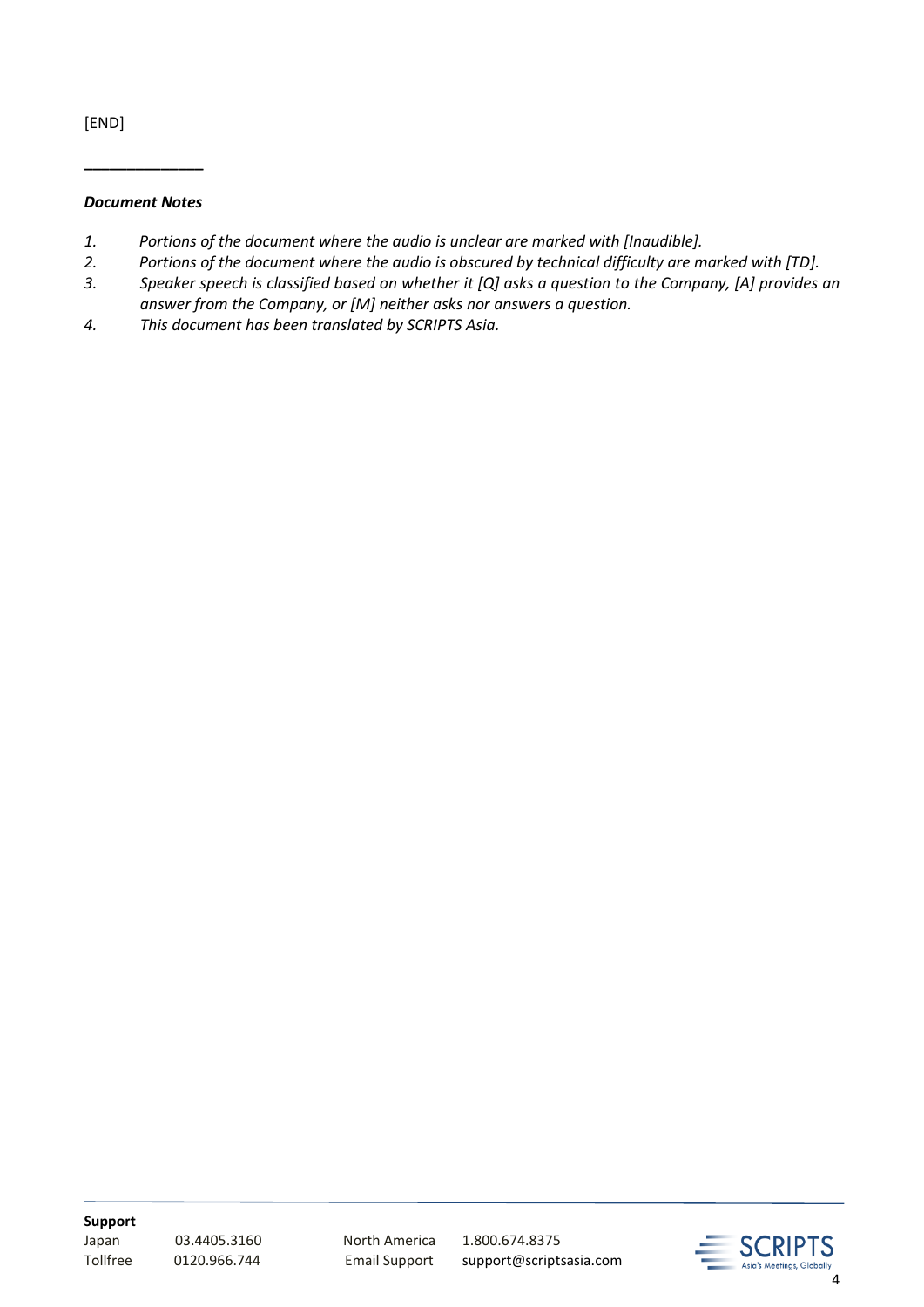[END]

#### *Document Notes*

**\_\_\_\_\_\_\_\_\_\_\_\_\_\_**

- *1. Portions of the document where the audio is unclear are marked with [Inaudible].*
- *2. Portions of the document where the audio is obscured by technical difficulty are marked with [TD].*
- *3. Speaker speech is classified based on whether it [Q] asks a question to the Company, [A] provides an answer from the Company, or [M] neither asks nor answers a question.*
- *4. This document has been translated by SCRIPTS Asia.*

**Support**

Japan 03.4405.3160 North America 1.800.674.8375

Tollfree 0120.966.744 Email Support support@scriptsasia.com